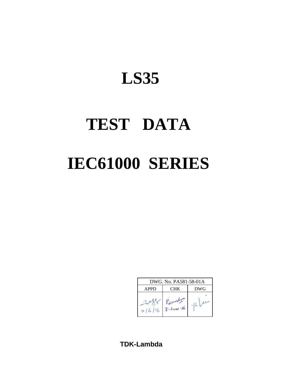# **TEST DATA IEC61000 SERIES**

| DWG. No. PA581-58-01A |                              |  |  |  |  |  |  |
|-----------------------|------------------------------|--|--|--|--|--|--|
| APPD                  | <b>DWG</b>                   |  |  |  |  |  |  |
| 216116                | Ramslyn<br>$2 - 3$ une $-16$ |  |  |  |  |  |  |

**TDK-Lambda**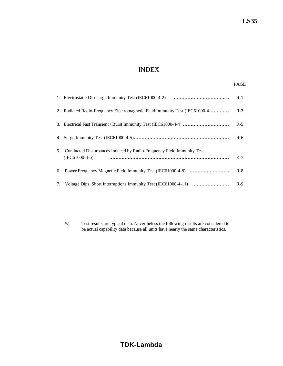# INDEX

|    |                                                                                              | $R-1$ |
|----|----------------------------------------------------------------------------------------------|-------|
|    | 2. Radiated Radio-Frequency Electromagnetic Field Immunity Test (IEC61000-4                  | $R-3$ |
|    |                                                                                              | $R-5$ |
|    |                                                                                              | $R-6$ |
|    | 5. Conducted Disturbances Induced by Radio-Frequency Field Immunity Test<br>$(IEC61000-4-6)$ | $R-7$ |
|    |                                                                                              | $R-8$ |
| 7. |                                                                                              | $R-9$ |

※ Test results are typical data. Nevertheless the following results are considered to be actual capability data because all units have nearly the same characteristics.

# **TDK-Lambda**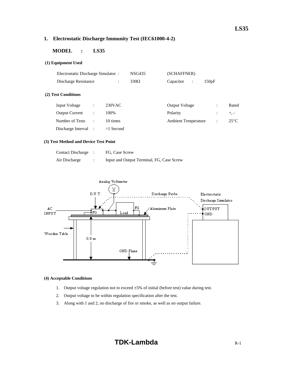### **1. Electrostatic Discharge Immunity Test (IEC61000-4-2)**

#### **MODEL : LS35**

#### **(1) Equipment Used**

| Electrostatic Discharge Simulator: |                      |                      | <b>NSG435</b> | (SCHAFFNER)                 |                      |                |
|------------------------------------|----------------------|----------------------|---------------|-----------------------------|----------------------|----------------|
| Discharge Resistance               |                      | $\ddot{\phantom{a}}$ | $330\Omega$   | Capacitor<br>$\ddot{\cdot}$ | 150pF                |                |
| (2) Test Conditions                |                      |                      |               |                             |                      |                |
| <b>Input Voltage</b>               | ٠                    | 230VAC               |               | <b>Output Voltage</b>       | $\ddot{\phantom{a}}$ | Rated          |
| <b>Output Current</b>              | $\ddot{\phantom{a}}$ | 100%                 |               | Polarity                    |                      | $+$ , $-$      |
| Number of Tests                    | $\ddot{\phantom{a}}$ | 10 times             |               | <b>Ambient Temperature</b>  | $\ddot{\phantom{a}}$ | $25^{\circ}$ C |
| Discharge Interval                 |                      | $>1$ Second          |               |                             |                      |                |

#### **(3) Test Method and Device Test Point**

| <b>Contact Discharge</b> | FG, Case Screw                            |
|--------------------------|-------------------------------------------|
| Air Discharge            | Input and Output Terminal, FG, Case Screw |



#### **(4) Acceptable Conditions**

- 1. Output voltage regulation not to exceed  $\pm 5\%$  of initial (before test) value during test.
- 2. Output voltage to be within regulation specification after the test.
- 3. Along with 1 and 2, no discharge of fire or smoke, as well as no output failure.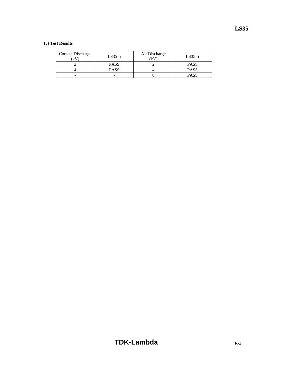| <b>Contact Discharge</b><br>κV | $LS35-5$    | Air Discharge<br>(kV | LS35-5      |
|--------------------------------|-------------|----------------------|-------------|
|                                | <b>PASS</b> |                      | <b>PASS</b> |
|                                | <b>PASS</b> |                      | <b>PASS</b> |
| -                              |             |                      | <b>PASS</b> |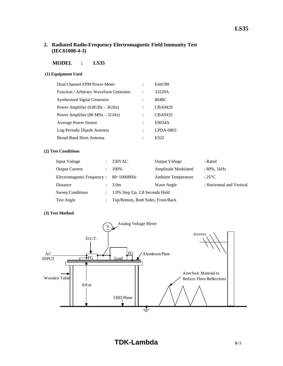#### **2. Radiated Radio-Frequency Electromagnetic Field Immunity Test (IEC61000-4-3)**

#### **MODEL : LS35**

#### **(1) Equipment Used**

| Dual Channel EPM Power Meter                       | E4419B       |
|----------------------------------------------------|--------------|
| Function / Arbitrary Waveform Generator            | 33220A       |
| Synthesized Signal Generator                       | 8648C        |
| Power Amplifier $(0.8\text{GHz} - 3\text{GHz})$    | CBA9429      |
| Power Amplifier $(80 \text{ MHz} - 1 \text{ GHz})$ | CBA9433      |
| <b>Average Power Sensor</b>                        | E9034A       |
| Log-Periodic Dipole Antenna                        | $L$ PDA-0803 |
| <b>Broad-Band Horn Antenna</b>                     | E322         |

#### **(2) Test Conditions**

| Input Voltage              |               | 230VAC                             | <b>Output Voltage</b>      | : Rated                   |
|----------------------------|---------------|------------------------------------|----------------------------|---------------------------|
| <b>Output Current</b>      |               | 100%                               | Amplitude Modulated        | $: 80\%$ , 1kHz           |
| Electromagnetic Frequency: |               | $80\text{-}1000$ MHz               | <b>Ambient Temperature</b> | : $25^{\circ}$ C          |
| Distance                   |               | 3.0 <sub>m</sub>                   | Wave Angle                 | : Horizontal and Vertical |
| Sweep Conditions           | $\mathcal{L}$ | 1.0% Step Up, 2.8 Seconds Hold     |                            |                           |
| Test Angle                 |               | Top/Bottom, Both Sides, Front/Back |                            |                           |

#### **(3) Test Method**

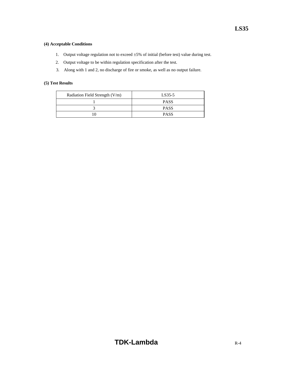#### **(4) Acceptable Conditions**

- 1. Output voltage regulation not to exceed ±5% of initial (before test) value during test.
- 2. Output voltage to be within regulation specification after the test.
- 3. Along with 1 and 2, no discharge of fire or smoke, as well as no output failure.

| Radiation Field Strength (V/m) | LS35-5      |
|--------------------------------|-------------|
|                                | <b>PASS</b> |
|                                | <b>PASS</b> |
|                                | <b>PASS</b> |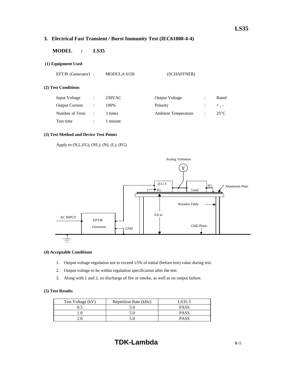# **3. Electrical Fast Transient / Burst Immunity Test (IEC61000-4-4)**

#### **MODEL : LS35**

#### **(1) Equipment Used**

EFT/B (Generator) : MODULA 6150 (SCHAFFNER)

#### **(2) Test Conditions**

| <b>Input Voltage</b>  |    | $230$ VAC | <b>Output Voltage</b>      | Rated          |
|-----------------------|----|-----------|----------------------------|----------------|
| <b>Output Current</b> |    | 100%      | Polarity                   | $+$ . $-$      |
| Number of Tests       | ۰. | 3 times   | <b>Ambient Temperature</b> | $25^{\circ}$ C |
| Test time             |    | 1 minute  |                            |                |

#### **(3) Test Method and Device Test Points**

Apply to (N,L,FG), (NL), (N), (L), (FG)



#### **(4) Acceptable Conditions**

- 1. Output voltage regulation not to exceed ±5% of initial (before test) value during test.
- 2. Output voltage to be within regulation specification after the test.
- 3. Along with 1 and 2, no discharge of fire or smoke, as well as no output failure.

| Test Voltage (kV) | Repetition Rate (kHz) | LS35-5      |
|-------------------|-----------------------|-------------|
| 0.5               |                       | <b>PASS</b> |
|                   |                       | <b>PASS</b> |
| 2.0               |                       | <b>PASS</b> |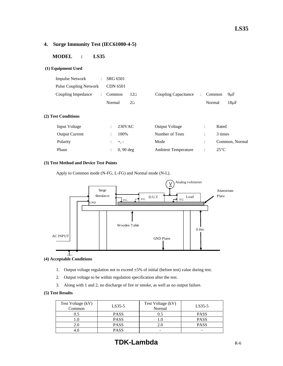#### **4. Surge Immunity Test (IEC61000-4-5)**

#### **MODEL : LS35**

#### **(1) Equipment Used**

| Normal | $2\Omega$                                                |                                        | Normal | 18 <sub>u</sub> F                      |
|--------|----------------------------------------------------------|----------------------------------------|--------|----------------------------------------|
|        | $\therefore$ SRG 6501<br>Pulse Coupling Network CDN 6501 | Coupling Impedance : Common $12\Omega$ |        | Coupling Capacitance : Common $9\mu$ F |

#### **(2) Test Conditions**

| Input Voltage         | 230VAC                 | <b>Output Voltage</b>      |                      | Rated          |
|-----------------------|------------------------|----------------------------|----------------------|----------------|
| <b>Output Current</b> | 100%                   | Number of Tests            |                      | 3 times        |
| Polarity              | $\div$ +, -            | Mode                       |                      | Common, Normal |
| Phase                 | $\therefore$ 0, 90 deg | <b>Ambient Temperature</b> | $\ddot{\phantom{a}}$ | $25^{\circ}$ C |

#### **(3) Test Method and Device Test Points**

Apply to Common mode (N-FG, L-FG) and Normal mode (N-L).



#### **(4) Acceptable Conditions**

- 1. Output voltage regulation not to exceed  $\pm 5\%$  of initial (before test) value during test.
- 2. Output voltage to be within regulation specification after the test.
- 3. Along with 1 and 2, no discharge of fire or smoke, as well as no output failure.

| Test Voltage (kV)<br>Common | $LS35-5$    | Test Voltage (kV)<br>Normal | LS35-5      |
|-----------------------------|-------------|-----------------------------|-------------|
| $0.5^{\circ}$               | <b>PASS</b> | 0.5                         | <b>PASS</b> |
|                             | <b>PASS</b> |                             | <b>PASS</b> |
| 2.0                         | <b>PASS</b> | 2.0                         | <b>PASS</b> |
|                             | <b>PASS</b> |                             | -           |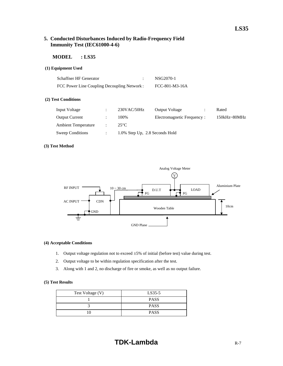#### **5. Conducted Disturbances Induced by Radio-Frequency Field Immunity Test (IEC61000-4-6)**

#### **MODEL : LS35**

#### **(1) Equipment Used**

| <b>Schaffner HF Generator</b>               | NSG2070-1      |
|---------------------------------------------|----------------|
| FCC Power Line Coupling Decoupling Network: | FCC-801-M3-16A |

#### **(2) Test Conditions**

| Input Voltage              | 230VAC/50Hz                    | <b>Output Voltage</b>       | Rated            |
|----------------------------|--------------------------------|-----------------------------|------------------|
| <b>Output Current</b>      | 100\%                          | Electromagnetic Frequency : | $150kHz - 80MHz$ |
| <b>Ambient Temperature</b> | $25^{\circ}$ C                 |                             |                  |
| Sweep Conditions           | 1.0% Step Up, 2.8 Seconds Hold |                             |                  |

#### **(3) Test Method**



#### **(4) Acceptable Conditions**

- 1. Output voltage regulation not to exceed ±5% of initial (before test) value during test.
- 2. Output voltage to be within regulation specification after the test.
- 3. Along with 1 and 2, no discharge of fire or smoke, as well as no output failure.

| Test Voltage (V) | LS35-5      |  |
|------------------|-------------|--|
|                  | <b>PASS</b> |  |
|                  | <b>PASS</b> |  |
| 10               | <b>PASS</b> |  |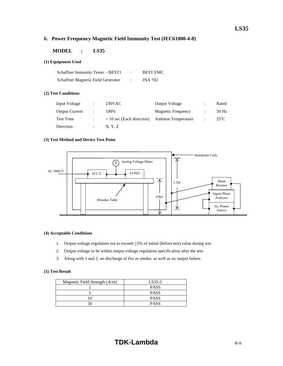#### **6. Power Frequency Magnetic Field Immunity Test (IEC61000-4-8)**

#### **MODEL : LS35**

#### **(1) Equipment Used**

| Schaffner Immunity Tester – BEST1  | <b>BEST EMC</b> |
|------------------------------------|-----------------|
| Schaffner Magnetic Field Generator | <b>INA 702</b>  |

#### **(2) Test Conditions**

| Input Voltage         | $230$ VAC                   | <b>Output Voltage</b>      | $\hat{\phantom{a}}$ | Rated         |
|-----------------------|-----------------------------|----------------------------|---------------------|---------------|
| <b>Output Current</b> | 100%                        | <b>Magnetic Frequency</b>  |                     | 50 Hz         |
| <b>Test Time</b>      | $> 10$ sec (Each direction) | <b>Ambient Temperature</b> |                     | $25^{\circ}C$ |
| Direction             | X, Y, Z                     |                            |                     |               |

#### **(3) Test Method and Device Test Point**



#### **(4) Acceptable Conditions**

- 1. Output voltage regulation not to exceed  $+5\%$  of initial (before test) value during test.
- 2. Output voltage to be within output voltage regulation specification after the test.
- 3. Along with 1 and 2, no discharge of fire or smoke, as well as no output failure.

| Magnetic Field Strength (A/m) | LS35-5      |
|-------------------------------|-------------|
|                               | <b>PASS</b> |
|                               | <b>PASS</b> |
|                               | <b>PASS</b> |
|                               | <b>PASS</b> |